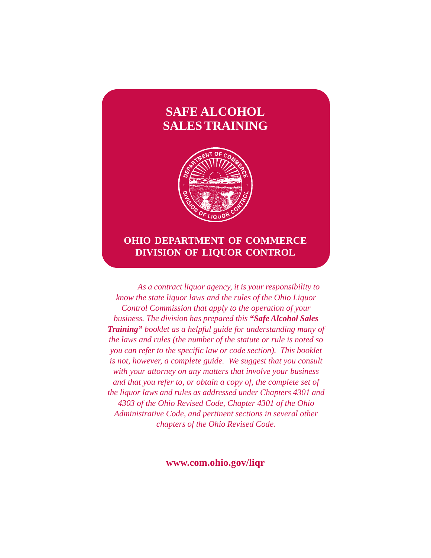# **SAFE ALCOHOL SALES TRAINING**



# **OHIO DEPARTMENT OF COMMERCE DIVISION OF LIQUOR CONTROL**

*As a contract liquor agency, it is your responsibility to know the state liquor laws and the rules of the Ohio Liquor Control Commission that apply to the operation of your business. The division has prepared this "Safe Alcohol Sales Training" booklet as a helpful guide for understanding many of the laws and rules (the number of the statute or rule is noted so you can refer to the specific law or code section). This booklet is not, however, a complete guide. We suggest that you consult with your attorney on any matters that involve your business and that you refer to, or obtain a copy of, the complete set of the liquor laws and rules as addressed under Chapters 4301 and 4303 of the Ohio Revised Code, Chapter 4301 of the Ohio Administrative Code, and pertinent sections in several other chapters of the Ohio Revised Code.*

**www.com.ohio.gov/liqr**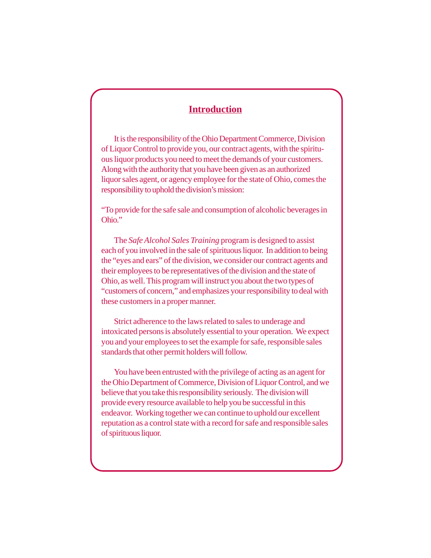## **Introduction**

It is the responsibility of the Ohio Department Commerce, Division of Liquor Control to provide you, our contract agents, with the spirituous liquor products you need to meet the demands of your customers. Along with the authority that you have been given as an authorized liquor sales agent, or agency employee for the state of Ohio, comes the responsibility to uphold the division's mission:

"To provide for the safe sale and consumption of alcoholic beverages in Ohio."

The *Safe Alcohol Sales Training* program is designed to assist each of you involved in the sale of spirituous liquor. In addition to being the "eyes and ears" of the division, we consider our contract agents and their employees to be representatives of the division and the state of Ohio, as well. This program will instruct you about the two types of "customers of concern," and emphasizes your responsibility to deal with these customers in a proper manner.

Strict adherence to the laws related to sales to underage and intoxicated persons is absolutely essential to your operation. We expect you and your employees to set the example for safe, responsible sales standards that other permit holders will follow.

You have been entrusted with the privilege of acting as an agent for the Ohio Department of Commerce, Division of Liquor Control, and we believe that you take this responsibility seriously. The division will provide every resource available to help you be successful in this endeavor. Working together we can continue to uphold our excellent reputation as a control state with a record for safe and responsible sales of spirituous liquor.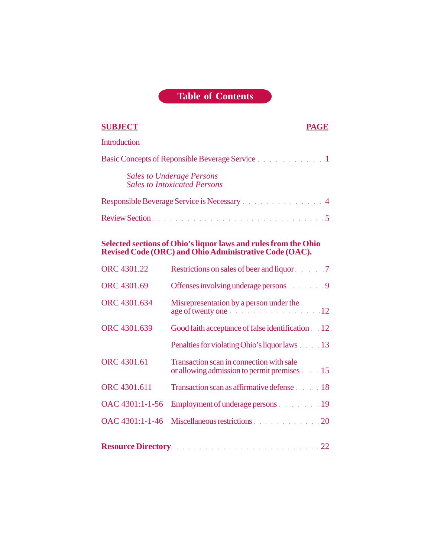# **Table of Contents**

| <b>SUBJECT</b>                                                          |  |
|-------------------------------------------------------------------------|--|
| <b>Introduction</b>                                                     |  |
|                                                                         |  |
| <b>Sales to Underage Persons</b><br><b>Sales to Intoxicated Persons</b> |  |
| Responsible Beverage Service is Necessary 4                             |  |
|                                                                         |  |

#### **Selected sections of Ohio's liquor laws and rules from the Ohio Revised Code (ORC) and Ohio Administrative Code (OAC).**

| ORC 4301.22     | Restrictions on sales of beer and liquor 7                                                                  |  |
|-----------------|-------------------------------------------------------------------------------------------------------------|--|
| ORC 4301.69     | Offenses involving underage persons. 9                                                                      |  |
| ORC 4301.634    | Misrepresentation by a person under the<br>age of twenty one $\ldots \ldots \ldots \ldots \ldots \ldots 12$ |  |
| ORC 4301.639    | Good faith acceptance of false identification . 12                                                          |  |
|                 | Penalties for violating Ohio's liquor laws 13                                                               |  |
| ORC 4301.61     | Transaction scan in connection with sale<br>or allowing admission to permit premises $\ldots$ 15            |  |
| ORC 4301.611    | Transaction scan as affirmative defense 18                                                                  |  |
| OAC 4301:1-1-56 | Employment of underage persons 19                                                                           |  |
| OAC 4301:1-1-46 | Miscellaneous restrictions 20                                                                               |  |
|                 |                                                                                                             |  |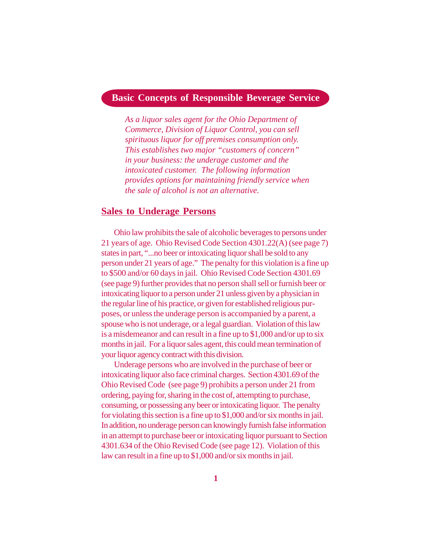#### **Basic Concepts of Responsible Beverage Service**

*As a liquor sales agent for the Ohio Department of Commerce, Division of Liquor Control, you can sell spirituous liquor for off premises consumption only. This establishes two major "customers of concern" in your business: the underage customer and the intoxicated customer. The following information provides options for maintaining friendly service when the sale of alcohol is not an alternative.*

#### **Sales to Underage Persons**

Ohio law prohibits the sale of alcoholic beverages to persons under 21 years of age. Ohio Revised Code Section 4301.22(A) (see page 7) states in part, "...no beer or intoxicating liquor shall be sold to any person under 21 years of age." The penalty for this violation is a fine up to \$500 and/or 60 days in jail. Ohio Revised Code Section 4301.69 (see page 9) further provides that no person shall sell or furnish beer or intoxicating liquor to a person under 21 unless given by a physician in the regular line of his practice, or given for established religious purposes, or unless the underage person is accompanied by a parent, a spouse who is not underage, or a legal guardian. Violation of this law is a misdemeanor and can result in a fine up to \$1,000 and/or up to six months in jail. For a liquor sales agent, this could mean termination of your liquor agency contract with this division.

Underage persons who are involved in the purchase of beer or intoxicating liquor also face criminal charges. Section 4301.69 of the Ohio Revised Code (see page 9) prohibits a person under 21 from ordering, paying for, sharing in the cost of, attempting to purchase, consuming, or possessing any beer or intoxicating liquor. The penalty for violating this section is a fine up to \$1,000 and/or six months in jail. In addition, no underage person can knowingly furnish false information in an attempt to purchase beer or intoxicating liquor pursuant to Section 4301.634 of the Ohio Revised Code (see page 12). Violation of this law can result in a fine up to \$1,000 and/or six months in jail.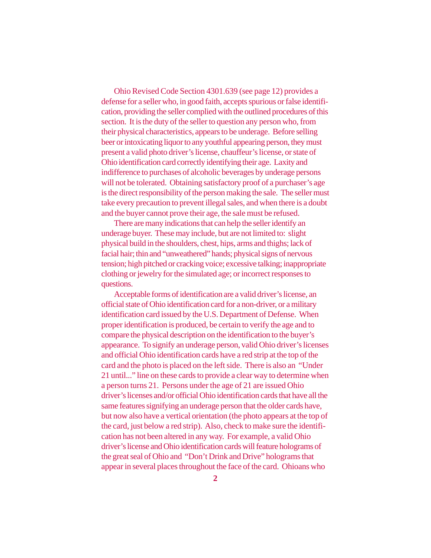Ohio Revised Code Section 4301.639 (see page 12) provides a defense for a seller who, in good faith, accepts spurious or false identification, providing the seller complied with the outlined procedures of this section. It is the duty of the seller to question any person who, from their physical characteristics, appears to be underage. Before selling beer or intoxicating liquor to any youthful appearing person, they must present a valid photo driver's license, chauffeur's license, or state of Ohio identification card correctly identifying their age. Laxity and indifference to purchases of alcoholic beverages by underage persons will not be tolerated. Obtaining satisfactory proof of a purchaser's age is the direct responsibility of the person making the sale. The seller must take every precaution to prevent illegal sales, and when there is a doubt and the buyer cannot prove their age, the sale must be refused.

There are many indications that can help the seller identify an underage buyer. These may include, but are not limited to: slight physical build in the shoulders, chest, hips, arms and thighs; lack of facial hair; thin and "unweathered" hands; physical signs of nervous tension; high pitched or cracking voice; excessive talking; inappropriate clothing or jewelry for the simulated age; or incorrect responses to questions.

Acceptable forms of identification are a valid driver's license, an official state of Ohio identification card for a non-driver, or a military identification card issued by the U.S. Department of Defense. When proper identification is produced, be certain to verify the age and to compare the physical description on the identification to the buyer's appearance. To signify an underage person, valid Ohio driver's licenses and official Ohio identification cards have a red strip at the top of the card and the photo is placed on the left side. There is also an "Under 21 until..." line on these cards to provide a clear way to determine when a person turns 21. Persons under the age of 21 are issued Ohio driver's licenses and/or official Ohio identification cards that have all the same features signifying an underage person that the older cards have, but now also have a vertical orientation (the photo appears at the top of the card, just below a red strip). Also, check to make sure the identification has not been altered in any way. For example, a valid Ohio driver's license and Ohio identification cards will feature holograms of the great seal of Ohio and "Don't Drink and Drive" holograms that appear in several places throughout the face of the card. Ohioans who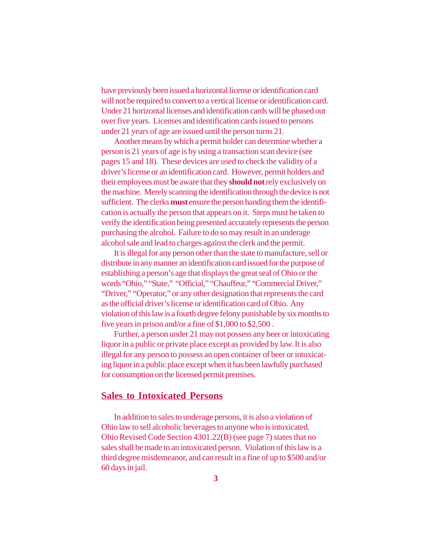have previously been issued a horizontal license or identification card will not be required to convert to a vertical license or identification card. Under 21 horizontal licenses and identification cards will be phased out over five years. Licenses and identification cards issued to persons under 21 years of age are issued until the person turns 21.

Another means by which a permit holder can determine whether a person is 21 years of age is by using a transaction scan device (see pages 15 and 18). These devices are used to check the validity of a driver's license or an identification card. However, permit holders and their employees must be aware that they **should not** rely exclusively on the machine. Merely scanning the identification through the device is not sufficient. The clerks **must** ensure the person handing them the identification is actually the person that appears on it. Steps must be taken to verify the identification being presented accurately represents the person purchasing the alcohol. Failure to do so may result in an underage alcohol sale and lead to charges against the clerk and the permit.

It is illegal for any person other than the state to manufacture, sell or distribute in any manner an identification card issued for the purpose of establishing a person's age that displays the great seal of Ohio or the words "Ohio," "State," "Official," "Chauffeur," "Commercial Driver," "Driver," "Operator," or any other designation that represents the card as the official driver's license or identification card of Ohio. Any violation of this law is a fourth degree felony punishable by six months to five years in prison and/or a fine of \$1,000 to \$2,500 .

Further, a person under 21 may not possess any beer or intoxicating liquor in a public or private place except as provided by law. It is also illegal for any person to possess an open container of beer or intoxicating liquor in a public place except when it has been lawfully purchased for consumption on the licensed permit premises.

### **Sales to Intoxicated Persons**

In addition to sales to underage persons, it is also a violation of Ohio law to sell alcoholic beverages to anyone who is intoxicated. Ohio Revised Code Section 4301.22(B) (see page 7) states that no sales shall be made to an intoxicated person. Violation of this law is a third degree misdemeanor, and can result in a fine of up to \$500 and/or 60 days in jail.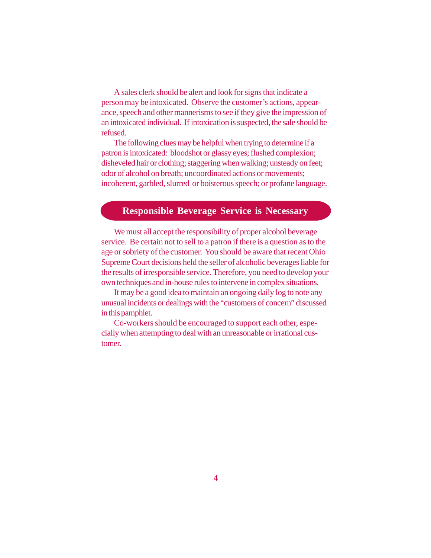A sales clerk should be alert and look for signs that indicate a person may be intoxicated. Observe the customer's actions, appearance, speech and other mannerisms to see if they give the impression of an intoxicated individual. If intoxication is suspected, the sale should be refused.

The following clues may be helpful when trying to determine if a patron is intoxicated: bloodshot or glassy eyes; flushed complexion; disheveled hair or clothing; staggering when walking; unsteady on feet; odor of alcohol on breath; uncoordinated actions or movements; incoherent, garbled, slurred or boisterous speech; or profane language.

## **Responsible Beverage Service is Necessary**

We must all accept the responsibility of proper alcohol beverage service. Be certain not to sell to a patron if there is a question as to the age or sobriety of the customer. You should be aware that recent Ohio Supreme Court decisions held the seller of alcoholic beverages liable for the results of irresponsible service. Therefore, you need to develop your own techniques and in-house rules to intervene in complex situations.

It may be a good idea to maintain an ongoing daily log to note any unusual incidents or dealings with the "customers of concern" discussed in this pamphlet.

Co-workers should be encouraged to support each other, especially when attempting to deal with an unreasonable or irrational customer.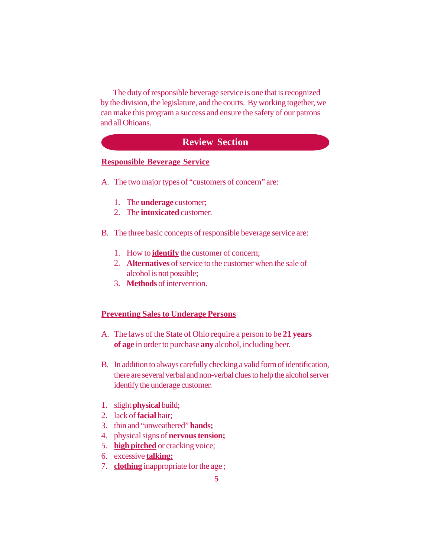The duty of responsible beverage service is one that is recognized by the division, the legislature, and the courts. By working together, we can make this program a success and ensure the safety of our patrons and all Ohioans.

#### **Review Section**

#### **Responsible Beverage Service**

- A. The two major types of "customers of concern" are:
	- 1. The **underage** customer;
	- 2. The **intoxicated** customer.
- B. The three basic concepts of responsible beverage service are:
	- 1. How to **identify** the customer of concern;
	- 2. **Alternatives** of service to the customer when the sale of alcohol is not possible;
	- 3. **Methods** of intervention.

#### **Preventing Sales to Underage Persons**

- A. The laws of the State of Ohio require a person to be **21 years of age** in order to purchase **any** alcohol, including beer.
- B. In addition to always carefully checking a valid form of identification, there are several verbal and non-verbal clues to help the alcohol server identify the underage customer.
- 1. slight **physical** build;
- 2. lack of **facial** hair;
- 3. thin and "unweathered" **hands;**
- 4. physical signs of **nervous tension;**
- 5. **high pitched** or cracking voice;
- 6. excessive **talking;**
- 7. **clothing** inappropriate for the age ;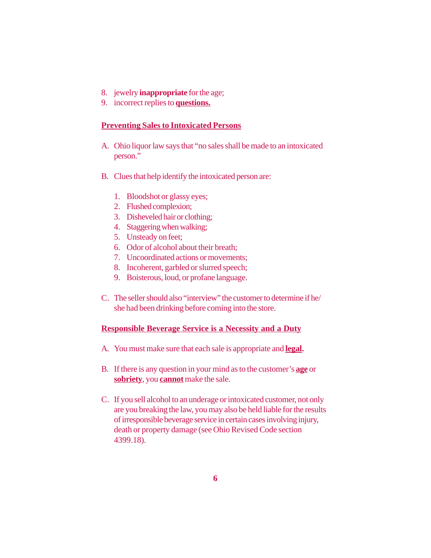- 8. jewelry **inappropriate** for the age;
- 9. incorrect replies to **questions.**

#### **Preventing Sales to Intoxicated Persons**

- A. Ohio liquor law says that "no sales shall be made to an intoxicated person."
- B. Clues that help identify the intoxicated person are:
	- 1. Bloodshot or glassy eyes;
	- 2. Flushed complexion;
	- 3. Disheveled hair or clothing;
	- 4. Staggering when walking;
	- 5. Unsteady on feet;
	- 6. Odor of alcohol about their breath;
	- 7. Uncoordinated actions or movements;
	- 8. Incoherent, garbled or slurred speech;
	- 9. Boisterous, loud, or profane language.
- C. The seller should also "interview" the customer to determine if he/ she had been drinking before coming into the store.

#### **Responsible Beverage Service is a Necessity and a Duty**

- A. You must make sure that each sale is appropriate and **legal.**
- B. If there is any question in your mind as to the customer's **age** or **sobriety**, you **cannot** make the sale.
- C. If you sell alcohol to an underage or intoxicated customer, not only are you breaking the law, you may also be held liable for the results of irresponsible beverage service in certain cases involving injury, death or property damage (see Ohio Revised Code section 4399.18).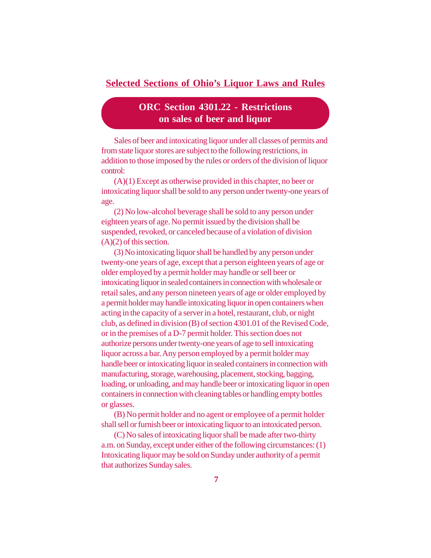## **Selected Sections of Ohio's Liquor Laws and Rules**

# **ORC Section 4301.22 - Restrictions on sales of beer and liquor**

Sales of beer and intoxicating liquor under all classes of permits and from state liquor stores are subject to the following restrictions, in addition to those imposed by the rules or orders of the division of liquor control:

(A)(1) Except as otherwise provided in this chapter, no beer or intoxicating liquor shall be sold to any person under twenty-one years of age.

(2) No low-alcohol beverage shall be sold to any person under eighteen years of age. No permit issued by the division shall be suspended, revoked, or canceled because of a violation of division  $(A)(2)$  of this section.

(3) No intoxicating liquor shall be handled by any person under twenty-one years of age, except that a person eighteen years of age or older employed by a permit holder may handle or sell beer or intoxicating liquor in sealed containers in connection with wholesale or retail sales, and any person nineteen years of age or older employed by a permit holder may handle intoxicating liquor in open containers when acting in the capacity of a server in a hotel, restaurant, club, or night club, as defined in division (B) of section 4301.01 of the Revised Code, or in the premises of a D-7 permit holder. This section does not authorize persons under twenty-one years of age to sell intoxicating liquor across a bar. Any person employed by a permit holder may handle beer or intoxicating liquor in sealed containers in connection with manufacturing, storage, warehousing, placement, stocking, bagging, loading, or unloading, and may handle beer or intoxicating liquor in open containers in connection with cleaning tables or handling empty bottles or glasses.

(B) No permit holder and no agent or employee of a permit holder shall sell or furnish beer or intoxicating liquor to an intoxicated person.

(C) No sales of intoxicating liquor shall be made after two-thirty a.m. on Sunday, except under either of the following circumstances: (1) Intoxicating liquor may be sold on Sunday under authority of a permit that authorizes Sunday sales.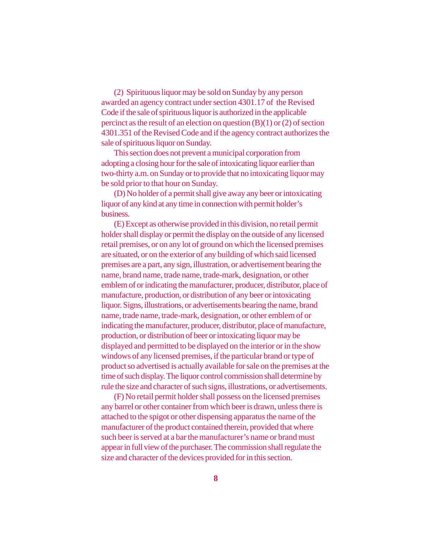(2) Spirituous liquor may be sold on Sunday by any person awarded an agency contract under section 4301.17 of the Revised Code if the sale of spirituous liquor is authorized in the applicable percinct as the result of an election on question  $(B)(1)$  or  $(2)$  of section 4301.351 of the Revised Code and if the agency contract authorizes the sale of spirituous liquor on Sunday.

This section does not prevent a municipal corporation from adopting a closing hour for the sale of intoxicating liquor earlier than two-thirty a.m. on Sunday or to provide that no intoxicating liquor may be sold prior to that hour on Sunday.

(D) No holder of a permit shall give away any beer or intoxicating liquor of any kind at any time in connection with permit holder's business.

(E) Except as otherwise provided in this division, no retail permit holder shall display or permit the display on the outside of any licensed retail premises, or on any lot of ground on which the licensed premises are situated, or on the exterior of any building of which said licensed premises are a part, any sign, illustration, or advertisement bearing the name, brand name, trade name, trade-mark, designation, or other emblem of or indicating the manufacturer, producer, distributor, place of manufacture, production, or distribution of any beer or intoxicating liquor. Signs, illustrations, or advertisements bearing the name, brand name, trade name, trade-mark, designation, or other emblem of or indicating the manufacturer, producer, distributor, place of manufacture, production, or distribution of beer or intoxicating liquor may be displayed and permitted to be displayed on the interior or in the show windows of any licensed premises, if the particular brand or type of product so advertised is actually available for sale on the premises at the time of such display. The liquor control commission shall determine by rule the size and character of such signs, illustrations, or advertisements.

(F) No retail permit holder shall possess on the licensed premises any barrel or other container from which beer is drawn, unless there is attached to the spigot or other dispensing apparatus the name of the manufacturer of the product contained therein, provided that where such beer is served at a bar the manufacturer's name or brand must appear in full view of the purchaser. The commission shall regulate the size and character of the devices provided for in this section.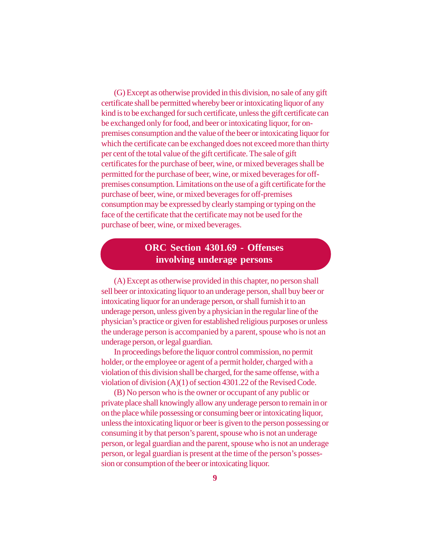(G) Except as otherwise provided in this division, no sale of any gift certificate shall be permitted whereby beer or intoxicating liquor of any kind is to be exchanged for such certificate, unless the gift certificate can be exchanged only for food, and beer or intoxicating liquor, for onpremises consumption and the value of the beer or intoxicating liquor for which the certificate can be exchanged does not exceed more than thirty per cent of the total value of the gift certificate. The sale of gift certificates for the purchase of beer, wine, or mixed beverages shall be permitted for the purchase of beer, wine, or mixed beverages for offpremises consumption. Limitations on the use of a gift certificate for the purchase of beer, wine, or mixed beverages for off-premises consumption may be expressed by clearly stamping or typing on the face of the certificate that the certificate may not be used for the purchase of beer, wine, or mixed beverages.

# **ORC Section 4301.69 - Offenses involving underage persons**

(A) Except as otherwise provided in this chapter, no person shall sell beer or intoxicating liquor to an underage person, shall buy beer or intoxicating liquor for an underage person, or shall furnish it to an underage person, unless given by a physician in the regular line of the physician's practice or given for established religious purposes or unless the underage person is accompanied by a parent, spouse who is not an underage person, or legal guardian.

In proceedings before the liquor control commission, no permit holder, or the employee or agent of a permit holder, charged with a violation of this division shall be charged, for the same offense, with a violation of division (A)(1) of section 4301.22 of the Revised Code.

(B) No person who is the owner or occupant of any public or private place shall knowingly allow any underage person to remain in or on the place while possessing or consuming beer or intoxicating liquor, unless the intoxicating liquor or beer is given to the person possessing or consuming it by that person's parent, spouse who is not an underage person, or legal guardian and the parent, spouse who is not an underage person, or legal guardian is present at the time of the person's possession or consumption of the beer or intoxicating liquor.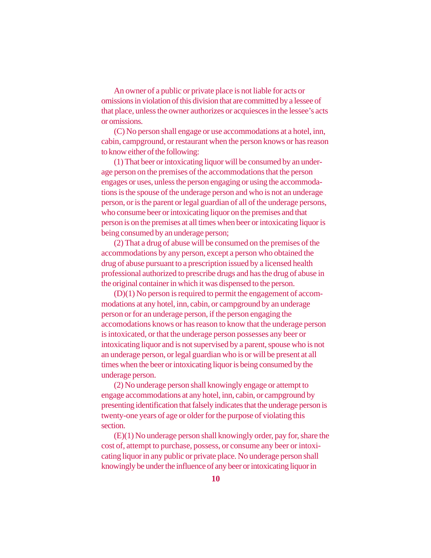An owner of a public or private place is not liable for acts or omissions in violation of this division that are committed by a lessee of that place, unless the owner authorizes or acquiesces in the lessee's acts or omissions.

(C) No person shall engage or use accommodations at a hotel, inn, cabin, campground, or restaurant when the person knows or has reason to know either of the following:

(1) That beer or intoxicating liquor will be consumed by an underage person on the premises of the accommodations that the person engages or uses, unless the person engaging or using the accommodations is the spouse of the underage person and who is not an underage person, or is the parent or legal guardian of all of the underage persons, who consume beer or intoxicating liquor on the premises and that person is on the premises at all times when beer or intoxicating liquor is being consumed by an underage person;

(2) That a drug of abuse will be consumed on the premises of the accommodations by any person, except a person who obtained the drug of abuse pursuant to a prescription issued by a licensed health professional authorized to prescribe drugs and has the drug of abuse in the original container in which it was dispensed to the person.

(D)(1) No person is required to permit the engagement of accommodations at any hotel, inn, cabin, or campground by an underage person or for an underage person, if the person engaging the accomodations knows or has reason to know that the underage person is intoxicated, or that the underage person possesses any beer or intoxicating liquor and is not supervised by a parent, spouse who is not an underage person, or legal guardian who is or will be present at all times when the beer or intoxicating liquor is being consumed by the underage person.

(2) No underage person shall knowingly engage or attempt to engage accommodations at any hotel, inn, cabin, or campground by presenting identification that falsely indicates that the underage person is twenty-one years of age or older for the purpose of violating this section.

(E)(1) No underage person shall knowingly order, pay for, share the cost of, attempt to purchase, possess, or consume any beer or intoxicating liquor in any public or private place. No underage person shall knowingly be under the influence of any beer or intoxicating liquor in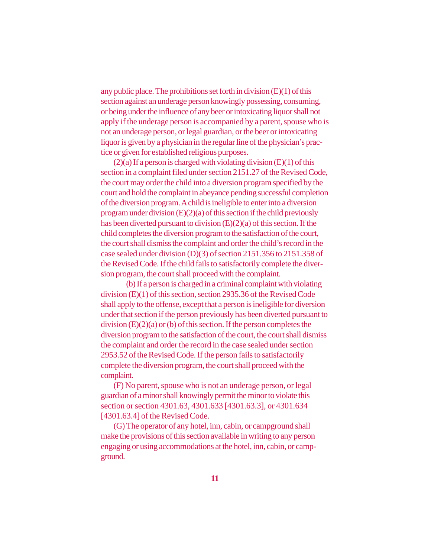any public place. The prohibitions set forth in division  $(E)(1)$  of this section against an underage person knowingly possessing, consuming, or being under the influence of any beer or intoxicating liquor shall not apply if the underage person is accompanied by a parent, spouse who is not an underage person, or legal guardian, or the beer or intoxicating liquor is given by a physician in the regular line of the physician's practice or given for established religious purposes.

 $(2)(a)$  If a person is charged with violating division  $(E)(1)$  of this section in a complaint filed under section 2151.27 of the Revised Code, the court may order the child into a diversion program specified by the court and hold the complaint in abeyance pending successful completion of the diversion program. A child is ineligible to enter into a diversion program under division (E)(2)(a) of this section if the child previously has been diverted pursuant to division (E)(2)(a) of this section. If the child completes the diversion program to the satisfaction of the court, the court shall dismiss the complaint and order the child's record in the case sealed under division (D)(3) of section 2151.356 to 2151.358 of the Revised Code. If the child fails to satisfactorily complete the diversion program, the court shall proceed with the complaint.

(b) If a person is charged in a criminal complaint with violating division (E)(1) of this section, section 2935.36 of the Revised Code shall apply to the offense, except that a person is ineligible for diversion under that section if the person previously has been diverted pursuant to division  $(E)(2)(a)$  or (b) of this section. If the person completes the diversion program to the satisfaction of the court, the court shall dismiss the complaint and order the record in the case sealed under section 2953.52 of the Revised Code. If the person fails to satisfactorily complete the diversion program, the court shall proceed with the complaint.

(F) No parent, spouse who is not an underage person, or legal guardian of a minor shall knowingly permit the minor to violate this section or section 4301.63, 4301.633 [4301.63.3], or 4301.634 [4301.63.4] of the Revised Code.

(G) The operator of any hotel, inn, cabin, or campground shall make the provisions of this section available in writing to any person engaging or using accommodations at the hotel, inn, cabin, or campground.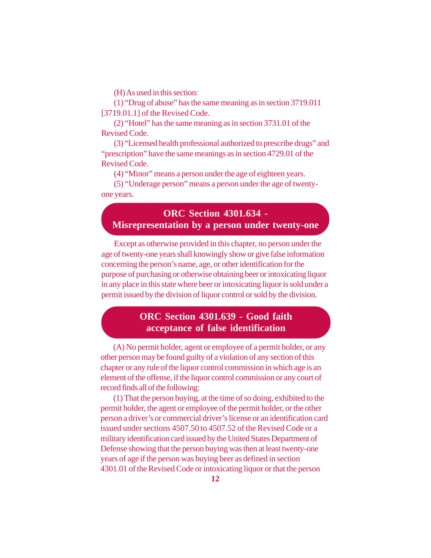(H) As used in this section:

(1) "Drug of abuse" has the same meaning as in section 3719.011 [3719.01.1] of the Revised Code.

(2) "Hotel" has the same meaning as in section 3731.01 of the Revised Code.

(3) "Licensed health professional authorized to prescribe drugs" and "prescription" have the same meanings as in section 4729.01 of the Revised Code.

(4) "Minor" means a person under the age of eighteen years.

(5) "Underage person" means a person under the age of twentyone years.

# **ORC Section 4301.634 -**

### **Misrepresentation by a person under twenty-one**

Except as otherwise provided in this chapter, no person under the age of twenty-one years shall knowingly show or give false information concerning the person's name, age, or other identification for the purpose of purchasing or otherwise obtaining beer or intoxicating liquor in any place in this state where beer or intoxicating liquor is sold under a permit issued by the division of liquor control or sold by the division.

# **ORC Section 4301.639 - Good faith acceptance of false identification**

(A) No permit holder, agent or employee of a permit holder, or any other person may be found guilty of a violation of any section of this chapter or any rule of the liquor control commission in which age is an element of the offense, if the liquor control commission or any court of record finds all of the following:

(1) That the person buying, at the time of so doing, exhibited to the permit holder, the agent or employee of the permit holder, or the other person a driver's or commercial driver's license or an identification card issued under sections 4507.50 to 4507.52 of the Revised Code or a military identification card issued by the United States Department of Defense showing that the person buying was then at least twenty-one years of age if the person was buying beer as defined in section 4301.01 of the Revised Code or intoxicating liquor or that the person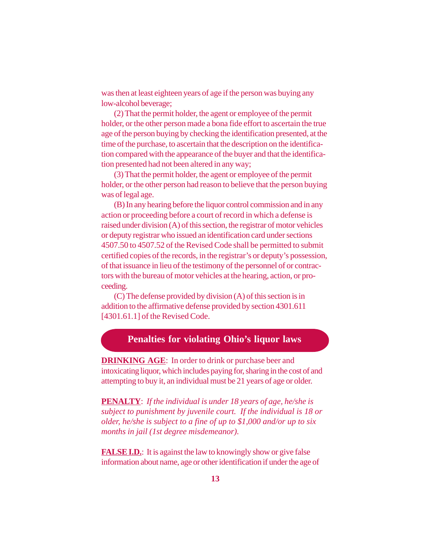was then at least eighteen years of age if the person was buying any low-alcohol beverage;

(2) That the permit holder, the agent or employee of the permit holder, or the other person made a bona fide effort to ascertain the true age of the person buying by checking the identification presented, at the time of the purchase, to ascertain that the description on the identification compared with the appearance of the buyer and that the identification presented had not been altered in any way;

(3) That the permit holder, the agent or employee of the permit holder, or the other person had reason to believe that the person buying was of legal age.

(B) In any hearing before the liquor control commission and in any action or proceeding before a court of record in which a defense is raised under division (A) of this section, the registrar of motor vehicles or deputy registrar who issued an identification card under sections 4507.50 to 4507.52 of the Revised Code shall be permitted to submit certified copies of the records, in the registrar's or deputy's possession, of that issuance in lieu of the testimony of the personnel of or contractors with the bureau of motor vehicles at the hearing, action, or proceeding.

(C) The defense provided by division (A) of this section is in addition to the affirmative defense provided by section 4301.611 [4301.61.1] of the Revised Code.

## **Penalties for violating Ohio's liquor laws**

**DRINKING AGE**: In order to drink or purchase beer and intoxicating liquor, which includes paying for, sharing in the cost of and attempting to buy it, an individual must be 21 years of age or older.

**PENALTY**: *If the individual is under 18 years of age, he/she is subject to punishment by juvenile court. If the individual is 18 or older, he/she is subject to a fine of up to \$1,000 and/or up to six months in jail (1st degree misdemeanor).*

**FALSE I.D.**: It is against the law to knowingly show or give false information about name, age or other identification if under the age of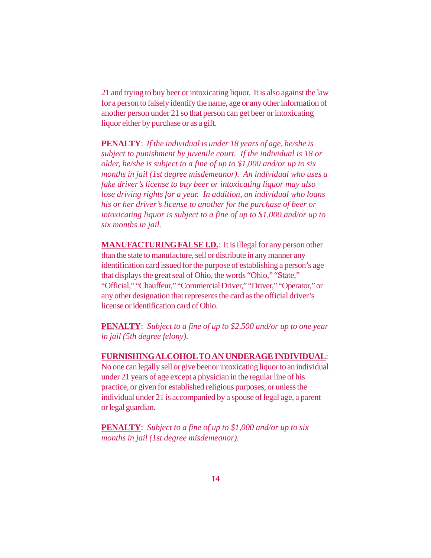21 and trying to buy beer or intoxicating liquor. It is also against the law for a person to falsely identify the name, age or any other information of another person under 21 so that person can get beer or intoxicating liquor either by purchase or as a gift.

**PENALTY**: *If the individual is under 18 years of age, he/she is subject to punishment by juvenile court. If the individual is 18 or older, he/she is subject to a fine of up to \$1,000 and/or up to six months in jail (1st degree misdemeanor). An individual who uses a fake driver's license to buy beer or intoxicating liquor may also lose driving rights for a year. In addition, an individual who loans his or her driver's license to another for the purchase of beer or intoxicating liquor is subject to a fine of up to \$1,000 and/or up to six months in jail.*

**MANUFACTURING FALSE I.D.**: It is illegal for any person other than the state to manufacture, sell or distribute in any manner any identification card issued for the purpose of establishing a person's age that displays the great seal of Ohio, the words "Ohio," "State," "Official," "Chauffeur," "Commercial Driver," "Driver," "Operator," or any other designation that represents the card as the official driver's license or identification card of Ohio.

**PENALTY**: *Subject to a fine of up to \$2,500 and/or up to one year in jail (5th degree felony).*

#### **FURNISHINGALCOHOLTO AN UNDERAGE INDIVIDUAL**:

No one can legally sell or give beer or intoxicating liquor to an individual under 21 years of age except a physician in the regular line of his practice, or given for established religious purposes, or unless the individual under 21 is accompanied by a spouse of legal age, a parent or legal guardian.

**PENALTY**: *Subject to a fine of up to \$1,000 and/or up to six months in jail (1st degree misdemeanor).*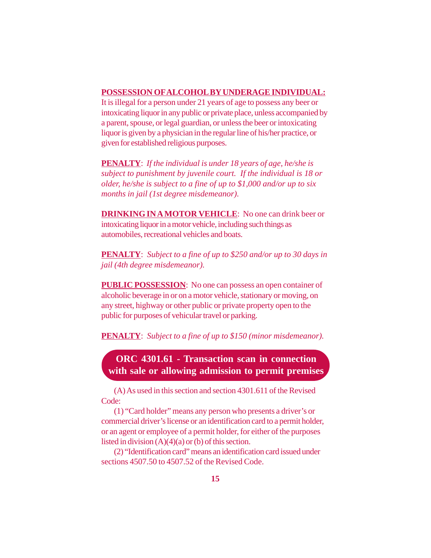#### **POSSESSION OFALCOHOL BY UNDERAGE INDIVIDUAL:**

It is illegal for a person under 21 years of age to possess any beer or intoxicating liquor in any public or private place, unless accompanied by a parent, spouse, or legal guardian, or unless the beer or intoxicating liquor is given by a physician in the regular line of his/her practice, or given for established religious purposes.

**PENALTY**: *If the individual is under 18 years of age, he/she is subject to punishment by juvenile court. If the individual is 18 or older, he/she is subject to a fine of up to \$1,000 and/or up to six months in jail (1st degree misdemeanor).*

**DRINKING IN A MOTOR VEHICLE**: No one can drink beer or intoxicating liquor in a motor vehicle, including such things as automobiles, recreational vehicles and boats.

**PENALTY**: *Subject to a fine of up to \$250 and/or up to 30 days in jail (4th degree misdemeanor).*

**PUBLIC POSSESSION:** No one can possess an open container of alcoholic beverage in or on a motor vehicle, stationary or moving, on any street, highway or other public or private property open to the public for purposes of vehicular travel or parking.

**PENALTY**: *Subject to a fine of up to \$150 (minor misdemeanor).*

**ORC 4301.61 - Transaction scan in connection with sale or allowing admission to permit premises**

(A) As used in this section and section 4301.611 of the Revised Code:

(1) "Card holder" means any person who presents a driver's or commercial driver's license or an identification card to a permit holder, or an agent or employee of a permit holder, for either of the purposes listed in division  $(A)(4)(a)$  or (b) of this section.

(2) "Identification card" means an identification card issued under sections 4507.50 to 4507.52 of the Revised Code.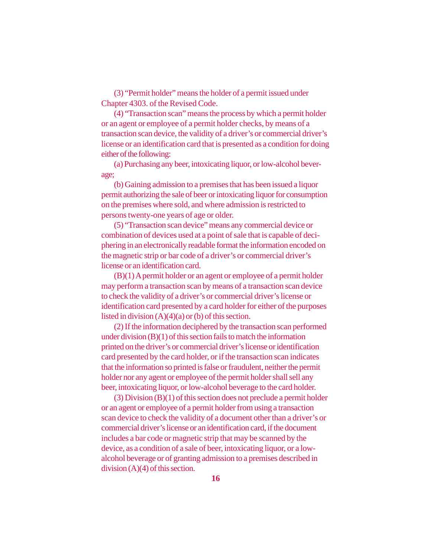(3) "Permit holder" means the holder of a permit issued under Chapter 4303. of the Revised Code.

(4) "Transaction scan" means the process by which a permit holder or an agent or employee of a permit holder checks, by means of a transaction scan device, the validity of a driver's or commercial driver's license or an identification card that is presented as a condition for doing either of the following:

(a) Purchasing any beer, intoxicating liquor, or low-alcohol beverage;

(b) Gaining admission to a premises that has been issued a liquor permit authorizing the sale of beer or intoxicating liquor for consumption on the premises where sold, and where admission is restricted to persons twenty-one years of age or older.

(5) "Transaction scan device" means any commercial device or combination of devices used at a point of sale that is capable of deciphering in an electronically readable format the information encoded on the magnetic strip or bar code of a driver's or commercial driver's license or an identification card.

(B)(1) A permit holder or an agent or employee of a permit holder may perform a transaction scan by means of a transaction scan device to check the validity of a driver's or commercial driver's license or identification card presented by a card holder for either of the purposes listed in division  $(A)(4)(a)$  or  $(b)$  of this section.

(2) If the information deciphered by the transaction scan performed under division (B)(1) of this section fails to match the information printed on the driver's or commercial driver's license or identification card presented by the card holder, or if the transaction scan indicates that the information so printed is false or fraudulent, neither the permit holder nor any agent or employee of the permit holder shall sell any beer, intoxicating liquor, or low-alcohol beverage to the card holder.

(3) Division (B)(1) of this section does not preclude a permit holder or an agent or employee of a permit holder from using a transaction scan device to check the validity of a document other than a driver's or commercial driver's license or an identification card, if the document includes a bar code or magnetic strip that may be scanned by the device, as a condition of a sale of beer, intoxicating liquor, or a lowalcohol beverage or of granting admission to a premises described in division (A)(4) of this section.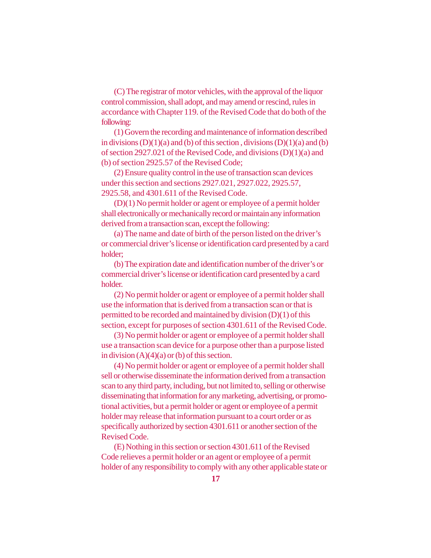(C) The registrar of motor vehicles, with the approval of the liquor control commission, shall adopt, and may amend or rescind, rules in accordance with Chapter 119. of the Revised Code that do both of the following:

(1) Govern the recording and maintenance of information described in divisions  $(D)(1)(a)$  and  $(b)$  of this section, divisions  $(D)(1)(a)$  and  $(b)$ of section 2927.021 of the Revised Code, and divisions (D)(1)(a) and (b) of section 2925.57 of the Revised Code;

(2) Ensure quality control in the use of transaction scan devices under this section and sections 2927.021, 2927.022, 2925.57, 2925.58, and 4301.611 of the Revised Code.

(D)(1) No permit holder or agent or employee of a permit holder shall electronically or mechanically record or maintain any information derived from a transaction scan, except the following:

(a) The name and date of birth of the person listed on the driver's or commercial driver's license or identification card presented by a card holder;

(b) The expiration date and identification number of the driver's or commercial driver's license or identification card presented by a card holder.

(2) No permit holder or agent or employee of a permit holder shall use the information that is derived from a transaction scan or that is permitted to be recorded and maintained by division (D)(1) of this section, except for purposes of section 4301.611 of the Revised Code.

(3) No permit holder or agent or employee of a permit holder shall use a transaction scan device for a purpose other than a purpose listed in division  $(A)(4)(a)$  or (b) of this section.

(4) No permit holder or agent or employee of a permit holder shall sell or otherwise disseminate the information derived from a transaction scan to any third party, including, but not limited to, selling or otherwise disseminating that information for any marketing, advertising, or promotional activities, but a permit holder or agent or employee of a permit holder may release that information pursuant to a court order or as specifically authorized by section 4301.611 or another section of the Revised Code.

(E) Nothing in this section or section 4301.611 of the Revised Code relieves a permit holder or an agent or employee of a permit holder of any responsibility to comply with any other applicable state or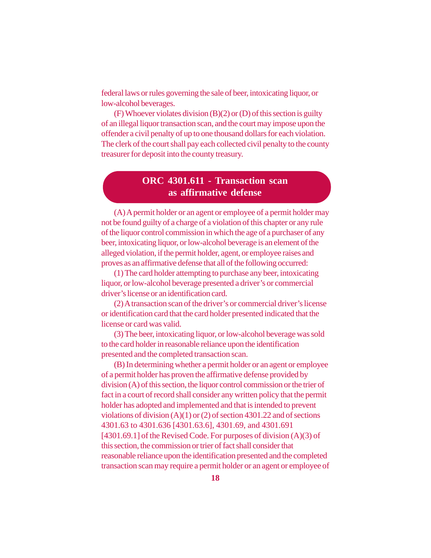federal laws or rules governing the sale of beer, intoxicating liquor, or low-alcohol beverages.

(F) Whoever violates division (B)(2) or (D) of this section is guilty of an illegal liquor transaction scan, and the court may impose upon the offender a civil penalty of up to one thousand dollars for each violation. The clerk of the court shall pay each collected civil penalty to the county treasurer for deposit into the county treasury.

# **ORC 4301.611 - Transaction scan as affirmative defense**

(A) A permit holder or an agent or employee of a permit holder may not be found guilty of a charge of a violation of this chapter or any rule of the liquor control commission in which the age of a purchaser of any beer, intoxicating liquor, or low-alcohol beverage is an element of the alleged violation, if the permit holder, agent, or employee raises and proves as an affirmative defense that all of the following occurred:

(1) The card holder attempting to purchase any beer, intoxicating liquor, or low-alcohol beverage presented a driver's or commercial driver's license or an identification card.

(2) A transaction scan of the driver's or commercial driver's license or identification card that the card holder presented indicated that the license or card was valid.

(3) The beer, intoxicating liquor, or low-alcohol beverage was sold to the card holder in reasonable reliance upon the identification presented and the completed transaction scan.

(B) In determining whether a permit holder or an agent or employee of a permit holder has proven the affirmative defense provided by division (A) of this section, the liquor control commission or the trier of fact in a court of record shall consider any written policy that the permit holder has adopted and implemented and that is intended to prevent violations of division  $(A)(1)$  or  $(2)$  of section 4301.22 and of sections 4301.63 to 4301.636 [4301.63.6], 4301.69, and 4301.691  $[4301.69.1]$  of the Revised Code. For purposes of division  $(A)(3)$  of this section, the commission or trier of fact shall consider that reasonable reliance upon the identification presented and the completed transaction scan may require a permit holder or an agent or employee of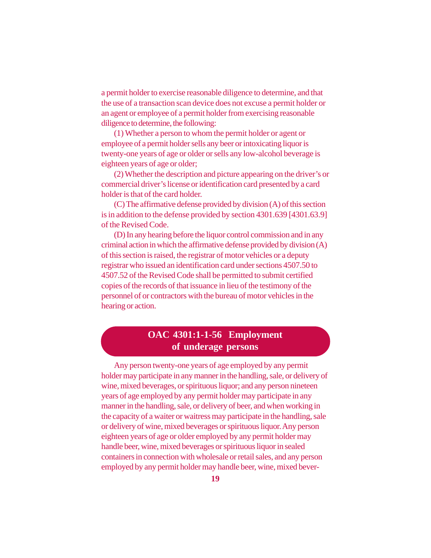a permit holder to exercise reasonable diligence to determine, and that the use of a transaction scan device does not excuse a permit holder or an agent or employee of a permit holder from exercising reasonable diligence to determine, the following:

(1) Whether a person to whom the permit holder or agent or employee of a permit holder sells any beer or intoxicating liquor is twenty-one years of age or older or sells any low-alcohol beverage is eighteen years of age or older;

(2) Whether the description and picture appearing on the driver's or commercial driver's license or identification card presented by a card holder is that of the card holder.

(C) The affirmative defense provided by division (A) of this section is in addition to the defense provided by section 4301.639 [4301.63.9] of the Revised Code.

(D) In any hearing before the liquor control commission and in any criminal action in which the affirmative defense provided by division (A) of this section is raised, the registrar of motor vehicles or a deputy registrar who issued an identification card under sections 4507.50 to 4507.52 of the Revised Code shall be permitted to submit certified copies of the records of that issuance in lieu of the testimony of the personnel of or contractors with the bureau of motor vehicles in the hearing or action.

# **OAC 4301:1-1-56 Employment of underage persons**

Any person twenty-one years of age employed by any permit holder may participate in any manner in the handling, sale, or delivery of wine, mixed beverages, or spirituous liquor; and any person nineteen years of age employed by any permit holder may participate in any manner in the handling, sale, or delivery of beer, and when working in the capacity of a waiter or waitress may participate in the handling, sale or delivery of wine, mixed beverages or spirituous liquor. Any person eighteen years of age or older employed by any permit holder may handle beer, wine, mixed beverages or spirituous liquor in sealed containers in connection with wholesale or retail sales, and any person employed by any permit holder may handle beer, wine, mixed bever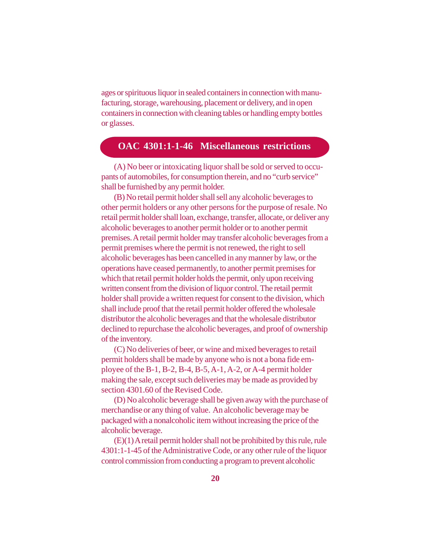ages or spirituous liquor in sealed containers in connection with manufacturing, storage, warehousing, placement or delivery, and in open containers in connection with cleaning tables or handling empty bottles or glasses.

### **OAC 4301:1-1-46 Miscellaneous restrictions**

(A) No beer or intoxicating liquor shall be sold or served to occupants of automobiles, for consumption therein, and no "curb service" shall be furnished by any permit holder.

(B) No retail permit holder shall sell any alcoholic beverages to other permit holders or any other persons for the purpose of resale. No retail permit holder shall loan, exchange, transfer, allocate, or deliver any alcoholic beverages to another permit holder or to another permit premises. A retail permit holder may transfer alcoholic beverages from a permit premises where the permit is not renewed, the right to sell alcoholic beverages has been cancelled in any manner by law, or the operations have ceased permanently, to another permit premises for which that retail permit holder holds the permit, only upon receiving written consent from the division of liquor control. The retail permit holder shall provide a written request for consent to the division, which shall include proof that the retail permit holder offered the wholesale distributor the alcoholic beverages and that the wholesale distributor declined to repurchase the alcoholic beverages, and proof of ownership of the inventory.

(C) No deliveries of beer, or wine and mixed beverages to retail permit holders shall be made by anyone who is not a bona fide employee of the B-1, B-2, B-4, B-5, A-1, A-2, or A-4 permit holder making the sale, except such deliveries may be made as provided by section 4301.60 of the Revised Code.

(D) No alcoholic beverage shall be given away with the purchase of merchandise or any thing of value. An alcoholic beverage may be packaged with a nonalcoholic item without increasing the price of the alcoholic beverage.

(E)(1) A retail permit holder shall not be prohibited by this rule, rule 4301:1-1-45 of the Administrative Code, or any other rule of the liquor control commission from conducting a program to prevent alcoholic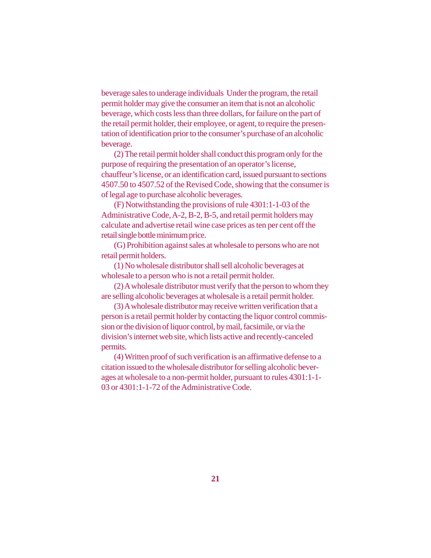beverage sales to underage individuals Under the program, the retail permit holder may give the consumer an item that is not an alcoholic beverage, which costs less than three dollars, for failure on the part of the retail permit holder, their employee, or agent, to require the presentation of identification prior to the consumer's purchase of an alcoholic beverage.

(2) The retail permit holder shall conduct this program only for the purpose of requiring the presentation of an operator's license, chauffeur's license, or an identification card, issued pursuant to sections 4507.50 to 4507.52 of the Revised Code, showing that the consumer is of legal age to purchase alcoholic beverages.

(F) Notwithstanding the provisions of rule 4301:1-1-03 of the Administrative Code, A-2, B-2, B-5, and retail permit holders may calculate and advertise retail wine case prices as ten per cent off the retail single bottle minimum price.

(G) Prohibition against sales at wholesale to persons who are not retail permit holders.

(1) No wholesale distributor shall sell alcoholic beverages at wholesale to a person who is not a retail permit holder.

(2) A wholesale distributor must verify that the person to whom they are selling alcoholic beverages at wholesale is a retail permit holder.

(3) A wholesale distributor may receive written verification that a person is a retail permit holder by contacting the liquor control commission or the division of liquor control, by mail, facsimile, or via the division's internet web site, which lists active and recently-canceled permits.

(4) Written proof of such verification is an affirmative defense to a citation issued to the wholesale distributor for selling alcoholic beverages at wholesale to a non-permit holder, pursuant to rules 4301:1-1- 03 or 4301:1-1-72 of the Administrative Code.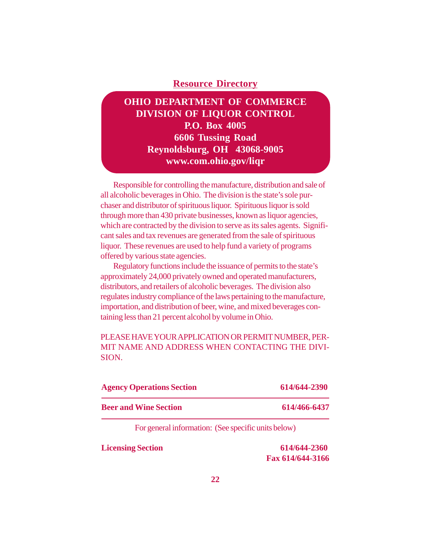## **Resource Directory**

# **OHIO DEPARTMENT OF COMMERCE DIVISION OF LIQUOR CONTROL P.O. Box 4005 6606 Tussing Road Reynoldsburg, OH 43068-9005 www.com.ohio.gov/liqr**

Responsible for controlling the manufacture, distribution and sale of all alcoholic beverages in Ohio. The division is the state's sole purchaser and distributor of spirituous liquor. Spirituous liquor is sold through more than 430 private businesses, known as liquor agencies, which are contracted by the division to serve as its sales agents. Significant sales and tax revenues are generated from the sale of spirituous liquor. These revenues are used to help fund a variety of programs offered by various state agencies.

Regulatory functions include the issuance of permits to the state's approximately 24,000 privately owned and operated manufacturers, distributors, and retailers of alcoholic beverages. The division also regulates industry compliance of the laws pertaining to the manufacture, importation, and distribution of beer, wine, and mixed beverages containing less than 21 percent alcohol by volume in Ohio.

## PLEASE HAVE YOUR APPLICATION OR PERMIT NUMBER, PER-MIT NAME AND ADDRESS WHEN CONTACTING THE DIVI-SION.

| <b>Agency Operations Section</b> | 614/644-2390 |
|----------------------------------|--------------|
| <b>Beer and Wine Section</b>     | 614/466-6437 |

For general information: (See specific units below)

**Licensing Section 614/644-2360**

 **Fax 614/644-3166**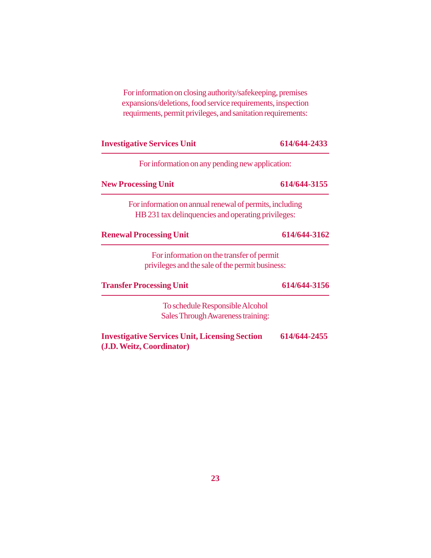For information on closing authority/safekeeping, premises expansions/deletions, food service requirements, inspection requirments, permit privileges, and sanitation requirements:

| <b>Investigative Services Unit</b>                                                                            | 614/644-2433 |
|---------------------------------------------------------------------------------------------------------------|--------------|
| For information on any pending new application:                                                               |              |
| <b>New Processing Unit</b>                                                                                    | 614/644-3155 |
| For information on annual renewal of permits, including<br>HB 231 tax delinquencies and operating privileges: |              |
| <b>Renewal Processing Unit</b>                                                                                | 614/644-3162 |

For information on the transfer of permit privileges and the sale of the permit business:

| <b>Transfer Processing Unit</b>                                                             | 614/644-3156 |  |
|---------------------------------------------------------------------------------------------|--------------|--|
| To schedule Responsible Alcohol<br><b>Sales Through Awareness training:</b>                 |              |  |
| <b>Investigative Services Unit, Licensing Section</b><br>( <b>J.D. Weitz, Coordinator</b> ) | 614/644-2455 |  |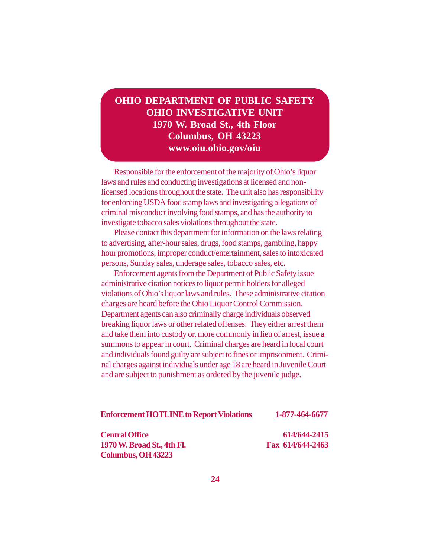# **OHIO DEPARTMENT OF PUBLIC SAFETY OHIO INVESTIGATIVE UNIT 1970 W. Broad St., 4th Floor Columbus, OH 43223 www.oiu.ohio.gov/oiu**

Responsible for the enforcement of the majority of Ohio's liquor laws and rules and conducting investigations at licensed and nonlicensed locations throughout the state. The unit also has responsibility for enforcing USDA food stamp laws and investigating allegations of criminal misconduct involving food stamps, and has the authority to investigate tobacco sales violations throughout the state.

Please contact this department for information on the laws relating to advertising, after-hour sales, drugs, food stamps, gambling, happy hour promotions, improper conduct/entertainment, sales to intoxicated persons, Sunday sales, underage sales, tobacco sales, etc.

Enforcement agents from the Department of Public Safety issue administrative citation notices to liquor permit holders for alleged violations of Ohio's liquor laws and rules. These administrative citation charges are heard before the Ohio Liquor Control Commission. Department agents can also criminally charge individuals observed breaking liquor laws or other related offenses. They either arrest them and take them into custody or, more commonly in lieu of arrest, issue a summons to appear in court. Criminal charges are heard in local court and individuals found guilty are subject to fines or imprisonment. Criminal charges against individuals under age 18 are heard in Juvenile Court and are subject to punishment as ordered by the juvenile judge.

| <b>Enforcement HOTLINE to Report Violations</b> | 1-877-464-6677   |
|-------------------------------------------------|------------------|
| <b>Central Office</b>                           | 614/644-2415     |
| 1970 W. Broad St., 4th Fl.                      | Fax 614/644-2463 |
| Columbus, OH 43223                              |                  |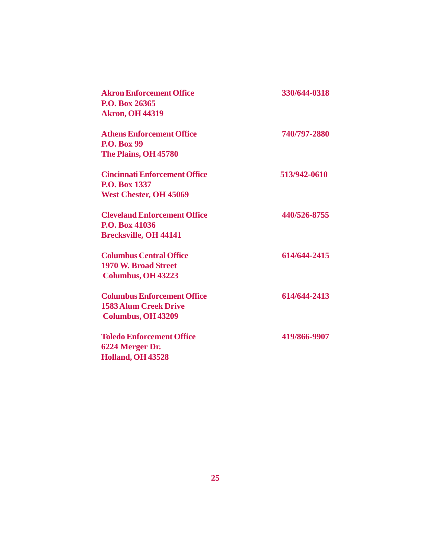| <b>Akron Enforcement Office</b><br>P.O. Box 26365<br><b>Akron, OH 44319</b>                     | 330/644-0318 |
|-------------------------------------------------------------------------------------------------|--------------|
| <b>Athens Enforcement Office</b><br><b>P.O. Box 99</b><br>The Plains, OH 45780                  | 740/797-2880 |
| <b>Cincinnati Enforcement Office</b><br><b>P.O. Box 1337</b><br><b>West Chester, OH 45069</b>   | 513/942-0610 |
| <b>Cleveland Enforcement Office</b><br>P.O. Box 41036<br><b>Brecksville, OH 44141</b>           | 440/526-8755 |
| <b>Columbus Central Office</b><br><b>1970 W. Broad Street</b><br><b>Columbus, OH 43223</b>      | 614/644-2415 |
| <b>Columbus Enforcement Office</b><br><b>1583 Alum Creek Drive</b><br><b>Columbus, OH 43209</b> | 614/644-2413 |
| <b>Toledo Enforcement Office</b><br>6224 Merger Dr.<br><b>Holland, OH 43528</b>                 | 419/866-9907 |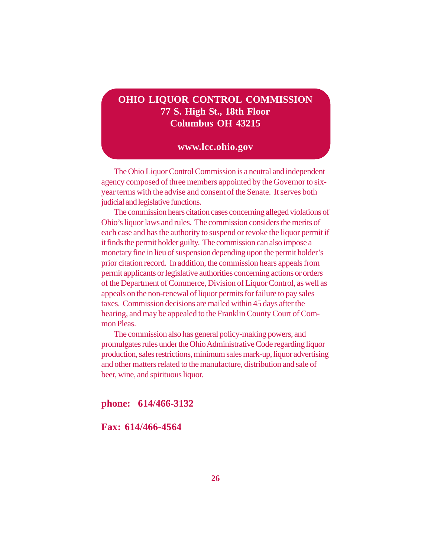# **OHIO LIQUOR CONTROL COMMISSION 77 S. High St., 18th Floor Columbus OH 43215**

## **www.lcc.ohio.gov**

The Ohio Liquor Control Commission is a neutral and independent agency composed of three members appointed by the Governor to sixyear terms with the advise and consent of the Senate. It serves both judicial and legislative functions.

The commission hears citation cases concerning alleged violations of Ohio's liquor laws and rules. The commission considers the merits of each case and has the authority to suspend or revoke the liquor permit if it finds the permit holder guilty. The commission can also impose a monetary fine in lieu of suspension depending upon the permit holder's prior citation record. In addition, the commission hears appeals from permit applicants or legislative authorities concerning actions or orders of the Department of Commerce, Division of Liquor Control, as well as appeals on the non-renewal of liquor permits for failure to pay sales taxes. Commission decisions are mailed within 45 days after the hearing, and may be appealed to the Franklin County Court of Common Pleas.

The commission also has general policy-making powers, and promulgates rules under the Ohio Administrative Code regarding liquor production, sales restrictions, minimum sales mark-up, liquor advertising and other matters related to the manufacture, distribution and sale of beer, wine, and spirituous liquor.

#### **phone: 614/466-3132**

## **Fax: 614/466-4564**